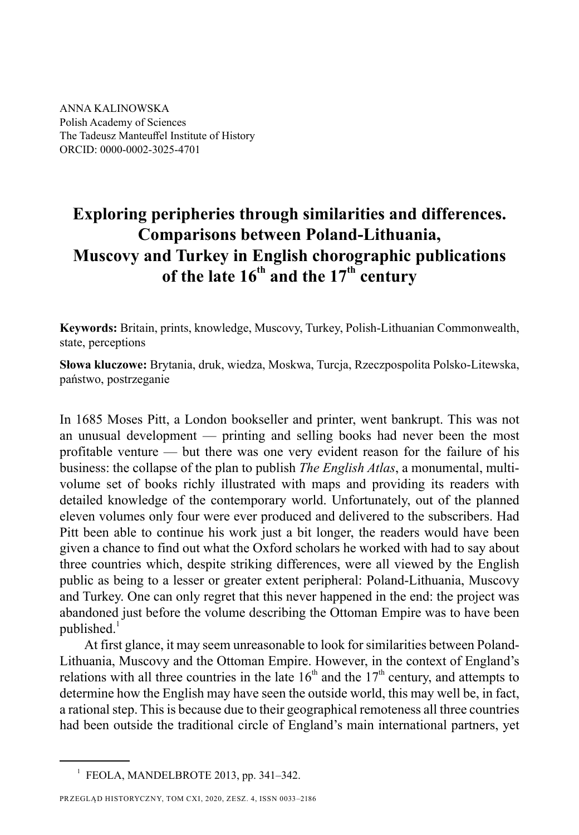ANNA KALINOWSKA Polish Academy of Sciences The Tadeusz Manteuffel Institute of History ORCID: 0000-0002-3025-4701

## **Exploring peripheries through similarities and differences . Comparisons between Poland-Lithuania, Muscovy and Turkey in English chorographic publications**  of the late 16<sup>th</sup> and the 17<sup>th</sup> century

**Keywords:** Britain, prints, knowledge, Muscovy, Turkey, Polish-Lithuanian Commonwealth, state, perceptions

**Słowa kluczowe:** Brytania, druk, wiedza, Moskwa, Turcja, Rzeczpospolita Polsko-Litewska, państwo, postrzeganie

In 1685 Moses Pitt, a London bookseller and printer, went bankrupt. This was not an unusual development — printing and selling books had never been the most profitable venture — but there was one very evident reason for the failure of his business: the collapse of the plan to publish *The English Atlas*, a monumental, multivolume set of books richly illustrated with maps and providing its readers with detailed knowledge of the contemporary world. Unfortunately, out of the planned eleven volumes only four were ever produced and delivered to the subscribers. Had Pitt been able to continue his work just a bit longer, the readers would have been given a chance to find out what the Oxford scholars he worked with had to say about three countries which, despite striking differences, were all viewed by the English public as being to a lesser or greater extent peripheral: Poland-Lithuania, Muscovy and Turkey. One can only regret that this never happened in the end: the project was abandoned just before the volume describing the Ottoman Empire was to have been published.<sup>1</sup>

At first glance, it may seem unreasonable to look for similarities between Poland-Lithuania, Muscovy and the Ottoman Empire. However, in the context of England's relations with all three countries in the late  $16<sup>th</sup>$  and the  $17<sup>th</sup>$  century, and attempts to determine how the English may have seen the outside world, this may well be, in fact, a rational step. This is because due to their geographical remoteness all three countries had been outside the traditional circle of England's main international partners, yet

 $<sup>1</sup>$  FEOLA, MANDELBROTE 2013, pp. 341-342.</sup>

PRZEGLĄD HISTORYCZNY, TOM CXI, 2020, ZESZ. 4, ISSN 0033–2186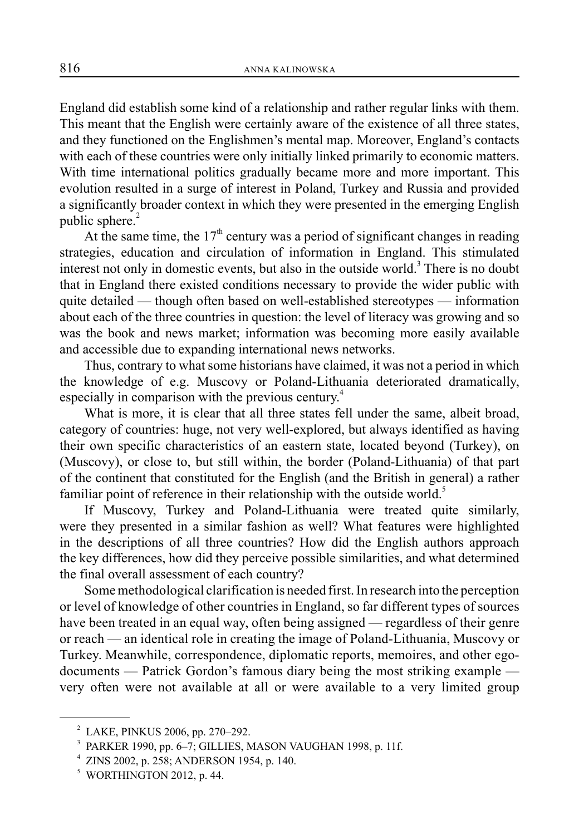England did establish some kind of a relationship and rather regular links with them. This meant that the English were certainly aware of the existence of all three states, and they functioned on the Englishmen's mental map. Moreover, England's contacts with each of these countries were only initially linked primarily to economic matters. With time international politics gradually became more and more important. This evolution resulted in a surge of interest in Poland, Turkey and Russia and provided a significantly broader context in which they were presented in the emerging English public sphere. $2$ 

At the same time, the  $17<sup>th</sup>$  century was a period of significant changes in reading strategies, education and circulation of information in England. This stimulated interest not only in domestic events, but also in the outside world.<sup>3</sup> There is no doubt that in England there existed conditions necessary to provide the wider public with quite detailed — though often based on well-established stereotypes — information about each of the three countries in question: the level of literacy was growing and so was the book and news market; information was becoming more easily available and accessible due to expanding international news networks.

Thus, contrary to what some historians have claimed, it was not a period in which the knowledge of e.g. Muscovy or Poland-Lithuania deteriorated dramatically, especially in comparison with the previous century.<sup>4</sup>

What is more, it is clear that all three states fell under the same, albeit broad, category of countries: huge, not very well-explored, but always identified as having their own specific characteristics of an eastern state, located beyond (Turkey), on (Muscovy), or close to, but still within, the border (Poland-Lithuania) of that part of the continent that constituted for the English (and the British in general) a rather familiar point of reference in their relationship with the outside world.<sup>5</sup>

If Muscovy, Turkey and Poland-Lithuania were treated quite similarly, were they presented in a similar fashion as well? What features were highlighted in the descriptions of all three countries? How did the English authors approach the key differences, how did they perceive possible similarities, and what determined the final overall assessment of each country?

Some methodological clarification is needed first. In research into the perception or level of knowledge of other countries in England, so far different types of sources have been treated in an equal way, often being assigned — regardless of their genre or reach — an identical role in creating the image of Poland-Lithuania, Muscovy or Turkey. Meanwhile, correspondence, diplomatic reports, memoires, and other egodocuments — Patrick Gordon's famous diary being the most striking example very often were not available at all or were available to a very limited group

<sup>2</sup> LAKE, PINKUS 2006, pp. 270–292.

<sup>3</sup> PARKER 1990, pp. 6–7; GILLIES, MASON VAUGHAN 1998, p. 11f.

<sup>4</sup> ZINS 2002, p. 258; ANDERSON 1954, p. 140.

<sup>5</sup> WORTHINGTON 2012, p. 44.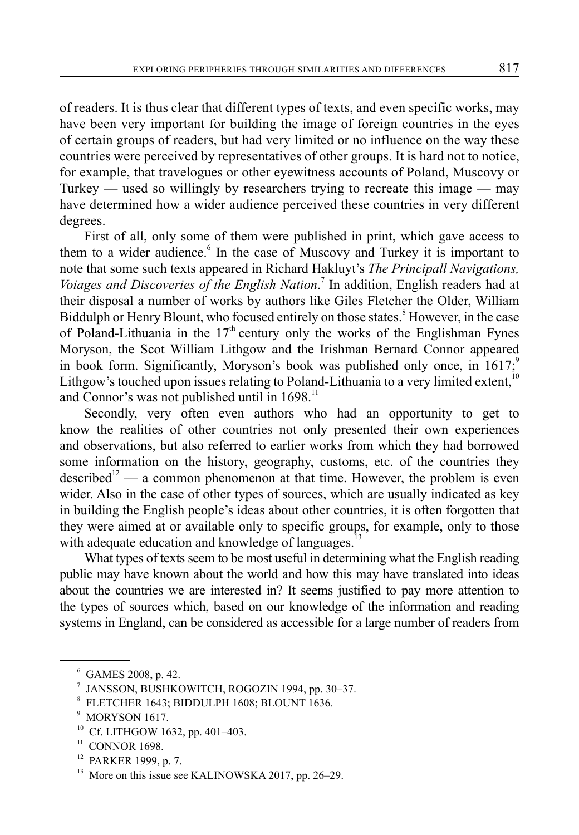of readers. It is thus clear that different types of texts, and even specific works, may have been very important for building the image of foreign countries in the eyes of certain groups of readers, but had very limited or no influence on the way these countries were perceived by representatives of other groups. It is hard not to notice, for example, that travelogues or other eyewitness accounts of Poland, Muscovy or Turkey — used so willingly by researchers trying to recreate this image — may have determined how a wider audience perceived these countries in very different degrees.

First of all, only some of them were published in print, which gave access to them to a wider audience.<sup>6</sup> In the case of Muscovy and Turkey it is important to note that some such texts appeared in Richard Hakluyt's *The Principall Navigations, Voiages and Discoveries of the English Nation*. 7 In addition, English readers had at their disposal a number of works by authors like Giles Fletcher the Older, William Biddulph or Henry Blount, who focused entirely on those states.<sup>8</sup> However, in the case of Poland-Lithuania in the  $17<sup>th</sup>$  century only the works of the Englishman Fynes Moryson, the Scot William Lithgow and the Irishman Bernard Connor appeared in book form. Significantly, Moryson's book was published only once, in  $1617$ ;<sup>9</sup> Lithgow's touched upon issues relating to Poland-Lithuania to a very limited extent,<sup>10</sup> and Connor's was not published until in 1698.<sup>11</sup>

Secondly, very often even authors who had an opportunity to get to know the realities of other countries not only presented their own experiences and observations, but also referred to earlier works from which they had borrowed some information on the history, geography, customs, etc. of the countries they described<sup>12</sup> — a common phenomenon at that time. However, the problem is even wider. Also in the case of other types of sources, which are usually indicated as key in building the English people's ideas about other countries, it is often forgotten that they were aimed at or available only to specific groups, for example, only to those with adequate education and knowledge of languages.<sup>13</sup>

What types of texts seem to be most useful in determining what the English reading public may have known about the world and how this may have translated into ideas about the countries we are interested in? It seems justified to pay more attention to the types of sources which, based on our knowledge of the information and reading systems in England, can be considered as accessible for a large number of readers from

- Cf. LITHGOW 1632, pp. 401-403.
- $11$  CONNOR 1698.

<sup>6</sup> GAMES 2008, p. 42.

<sup>7</sup> JANSSON, BUSHKOWITCH, ROGOZIN 1994, pp. 30–37.

<sup>8</sup> FLETCHER 1643; BIDDULPH 1608; BLOUNT 1636.

<sup>&</sup>lt;sup>9</sup> MORYSON 1617.

<sup>12</sup> PARKER 1999, p. 7.

<sup>&</sup>lt;sup>13</sup> More on this issue see KALINOWSKA 2017, pp. 26–29.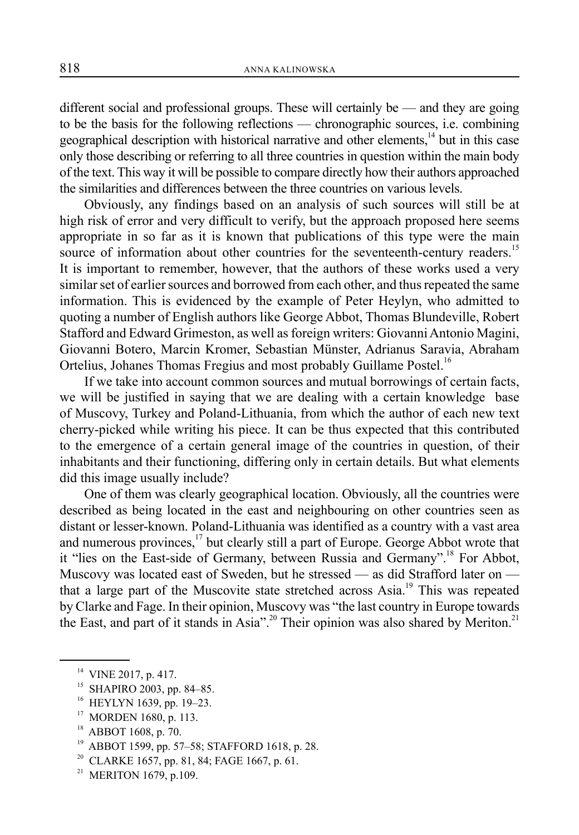different social and professional groups. These will certainly be — and they are going to be the basis for the following reflections — chronographic sources, i.e. combining geographical description with historical narrative and other elements,<sup>14</sup> but in this case only those describing or referring to all three countries in question within the main body of the text. This way it will be possible to compare directly how their authors approached the similarities and differences between the three countries on various levels.

Obviously, any findings based on an analysis of such sources will still be at high risk of error and very difficult to verify, but the approach proposed here seems appropriate in so far as it is known that publications of this type were the main source of information about other countries for the seventeenth-century readers.<sup>15</sup> It is important to remember, however, that the authors of these works used a very similar set of earlier sources and borrowed from each other, and thus repeated the same information. This is evidenced by the example of Peter Heylyn, who admitted to quoting a number of English authors like George Abbot, Thomas Blundeville, Robert Stafford and Edward Grimeston, as well as foreign writers: Giovanni Antonio Magini, Giovanni Botero, Marcin Kromer, Sebastian Münster, Adrianus Saravia, Abraham Ortelius, Johanes Thomas Fregius and most probably Guillame Postel.<sup>16</sup>

If we take into account common sources and mutual borrowings of certain facts, we will be justified in saying that we are dealing with a certain knowledge base of Muscovy, Turkey and Poland-Lithuania, from which the author of each new text cherry-picked while writing his piece. It can be thus expected that this contributed to the emergence of a certain general image of the countries in question, of their inhabitants and their functioning, differing only in certain details. But what elements did this image usually include?

One of them was clearly geographical location. Obviously, all the countries were described as being located in the east and neighbouring on other countries seen as distant or lesser-known. Poland-Lithuania was identified as a country with a vast area and numerous provinces, $17$  but clearly still a part of Europe. George Abbot wrote that it "lies on the East-side of Germany, between Russia and Germany".<sup>18</sup> For Abbot, Muscovy was located east of Sweden, but he stressed — as did Strafford later on that a large part of the Muscovite state stretched across Asia.<sup>19</sup> This was repeated by Clarke and Fage. In their opinion, Muscovy was "the last country in Europe towards the East, and part of it stands in Asia".<sup>20</sup> Their opinion was also shared by Meriton.<sup>21</sup>

- <sup>15</sup> SHAPIRO 2003, pp. 84-85.
- <sup>16</sup> HEYLYN 1639, pp. 19-23.
- <sup>17</sup> MORDEN 1680, p. 113.
- 18 ABBOT 1608, p. 70.
- 19 ABBOT 1599, pp. 57–58; STAFFORD 1618, p. 28.
- <sup>20</sup> CLARKE 1657, pp. 81, 84; FAGE 1667, p. 61.
- <sup>21</sup> MERITON 1679, p.109.

<sup>&</sup>lt;sup>14</sup> VINE 2017, p. 417.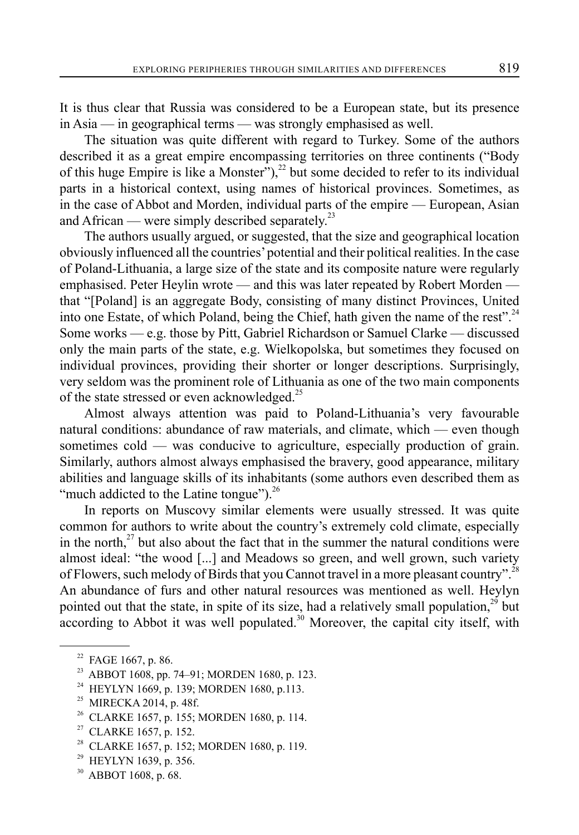It is thus clear that Russia was considered to be a European state, but its presence in Asia — in geographical terms — was strongly emphasised as well.

The situation was quite different with regard to Turkey. Some of the authors described it as a great empire encompassing territories on three continents ("Body of this huge Empire is like a Monster"),<sup>22</sup> but some decided to refer to its individual parts in a historical context, using names of historical provinces. Sometimes, as in the case of Abbot and Morden, individual parts of the empire — European, Asian and African — were simply described separately.<sup>23</sup>

The authors usually argued, or suggested, that the size and geographical location obviously influenced all the countries' potential and their political realities. In the case of Poland-Lithuania, a large size of the state and its composite nature were regularly emphasised. Peter Heylin wrote — and this was later repeated by Robert Morden that "[Poland] is an aggregate Body, consisting of many distinct Provinces, United into one Estate, of which Poland, being the Chief, hath given the name of the rest".<sup>24</sup> Some works — e.g. those by Pitt, Gabriel Richardson or Samuel Clarke — discussed only the main parts of the state, e.g. Wielkopolska, but sometimes they focused on individual provinces, providing their shorter or longer descriptions. Surprisingly, very seldom was the prominent role of Lithuania as one of the two main components of the state stressed or even acknowledged.<sup>25</sup>

Almost always attention was paid to Poland-Lithuania's very favourable natural conditions: abundance of raw materials, and climate, which — even though sometimes cold — was conducive to agriculture, especially production of grain. Similarly, authors almost always emphasised the bravery, good appearance, military abilities and language skills of its inhabitants (some authors even described them as "much addicted to the Latine tongue" $^{\text{26}}$ .

In reports on Muscovy similar elements were usually stressed. It was quite common for authors to write about the country's extremely cold climate, especially in the north, $2^7$  but also about the fact that in the summer the natural conditions were almost ideal: "the wood [...] and Meadows so green, and well grown, such variety of Flowers, such melody of Birds that you Cannot travel in a more pleasant country".<sup>28</sup> An abundance of furs and other natural resources was mentioned as well. Heylyn pointed out that the state, in spite of its size, had a relatively small population, $^{29}$  but according to Abbot it was well populated.<sup>30</sup> Moreover, the capital city itself, with

- <sup>28</sup> CLARKE 1657, p. 152; MORDEN 1680, p. 119.
- $^{29}$  HEYLYN 1639, p. 356.
- 30 ABBOT 1608, p. 68.

<sup>&</sup>lt;sup>22</sup> FAGE 1667, p. 86.

<sup>&</sup>lt;sup>23</sup> ABBOT 1608, pp. 74–91; MORDEN 1680, p. 123.<br><sup>24</sup> HEVI VN 1669, p. 139: MORDEN 1680, p. 113

HEYLYN 1669, p. 139; MORDEN 1680, p.113.

<sup>&</sup>lt;sup>25</sup> MIRECKA 2014, p. 48f.<br><sup>26</sup> CLARKE 1657 p. 155; 1

<sup>26</sup> CLARKE 1657, p. 155; MORDEN 1680, p. 114.

 $27$  CLARKE 1657, p. 152.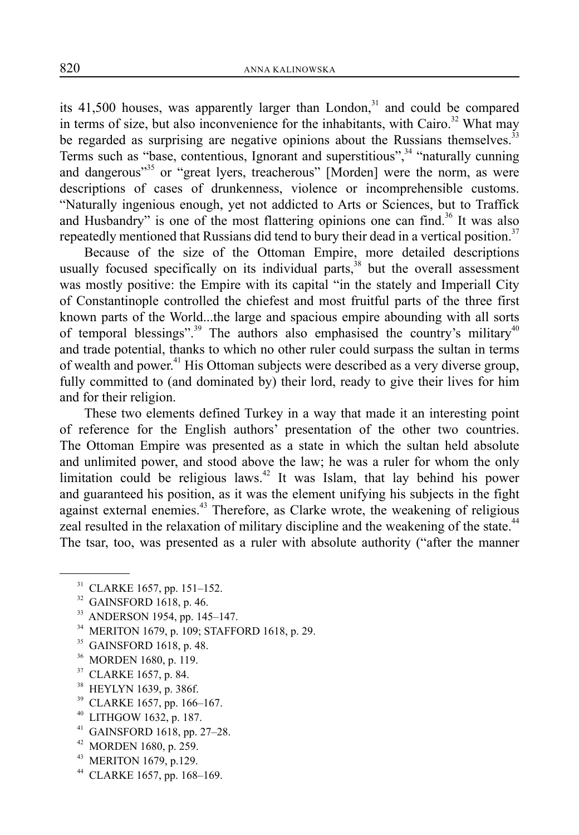its  $41,500$  houses, was apparently larger than London,<sup>31</sup> and could be compared in terms of size, but also inconvenience for the inhabitants, with Cairo.<sup>32</sup> What may be regarded as surprising are negative opinions about the Russians themselves. $33$ Terms such as "base, contentious, Ignorant and superstitious", $34$  "naturally cunning and dangerous"<sup>35</sup> or "great lyers, treacherous" [Morden] were the norm, as were descriptions of cases of drunkenness, violence or incomprehensible customs. "Naturally ingenious enough, yet not addicted to Arts or Sciences, but to Traffick and Husbandry" is one of the most flattering opinions one can find.<sup>36</sup> It was also repeatedly mentioned that Russians did tend to bury their dead in a vertical position.<sup>37</sup>

Because of the size of the Ottoman Empire, more detailed descriptions usually focused specifically on its individual parts,  $38$  but the overall assessment was mostly positive: the Empire with its capital "in the stately and Imperiall City of Constantinople controlled the chiefest and most fruitful parts of the three first known parts of the World...the large and spacious empire abounding with all sorts of temporal blessings".<sup>39</sup> The authors also emphasised the country's military<sup>40</sup> and trade potential, thanks to which no other ruler could surpass the sultan in terms of wealth and power.41 His Ottoman subjects were described as a very diverse group, fully committed to (and dominated by) their lord, ready to give their lives for him and for their religion.

These two elements defined Turkey in a way that made it an interesting point of reference for the English authors' presentation of the other two countries. The Ottoman Empire was presented as a state in which the sultan held absolute and unlimited power, and stood above the law; he was a ruler for whom the only limitation could be religious laws.<sup>42</sup> It was Islam, that lay behind his power and guaranteed his position, as it was the element unifying his subjects in the fight against external enemies.<sup>43</sup> Therefore, as Clarke wrote, the weakening of religious zeal resulted in the relaxation of military discipline and the weakening of the state.<sup>44</sup> The tsar, too, was presented as a ruler with absolute authority ("after the manner

- 31 CLARKE 1657, pp. 151–152.
- <sup>32</sup> GAINSFORD 1618, p. 46.
- 33 ANDERSON 1954, pp. 145–147.
- 34 MERITON 1679, p. 109; STAFFORD 1618, p. 29.
- 35 GAINSFORD 1618, p. 48.
- 36 MORDEN 1680, p. 119.
- 37 CLARKE 1657, p. 84.
- 38 HEYLYN 1639, p. 386f.
- 39 CLARKE 1657, pp. 166–167.
- 40 LITHGOW 1632, p. 187.
- 41 GAINSFORD 1618, pp. 27–28.
- $42$  MORDEN 1680, p. 259.
- <sup>43</sup> MERITON 1679, p.129.
- 44 CLARKE 1657, pp. 168–169.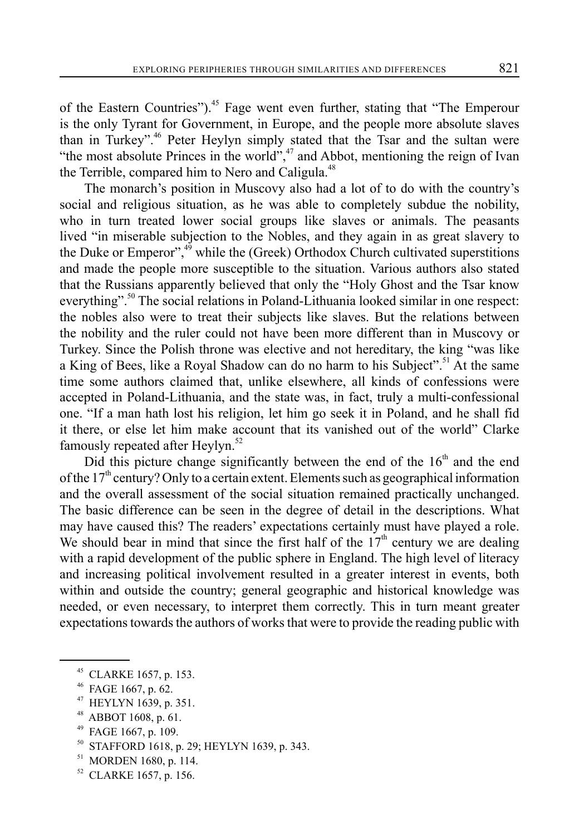of the Eastern Countries").<sup>45</sup> Fage went even further, stating that "The Emperour is the only Tyrant for Government, in Europe, and the people more absolute slaves than in Turkey".46 Peter Heylyn simply stated that the Tsar and the sultan were "the most absolute Princes in the world", $47$  and Abbot, mentioning the reign of Ivan the Terrible, compared him to Nero and Caligula.<sup>48</sup>

The monarch's position in Muscovy also had a lot of to do with the country's social and religious situation, as he was able to completely subdue the nobility, who in turn treated lower social groups like slaves or animals. The peasants lived "in miserable subjection to the Nobles, and they again in as great slavery to the Duke or Emperor", $4\frac{4}{9}$  while the (Greek) Orthodox Church cultivated superstitions and made the people more susceptible to the situation. Various authors also stated that the Russians apparently believed that only the "Holy Ghost and the Tsar know everything".<sup>50</sup> The social relations in Poland-Lithuania looked similar in one respect: the nobles also were to treat their subjects like slaves. But the relations between the nobility and the ruler could not have been more different than in Muscovy or Turkey. Since the Polish throne was elective and not hereditary, the king "was like a King of Bees, like a Royal Shadow can do no harm to his Subject".<sup>51</sup> At the same time some authors claimed that, unlike elsewhere, all kinds of confessions were accepted in Poland-Lithuania, and the state was, in fact, truly a multi-confessional one. "If a man hath lost his religion, let him go seek it in Poland, and he shall fid it there, or else let him make account that its vanished out of the world" Clarke famously repeated after Heylyn.<sup>52</sup>

Did this picture change significantly between the end of the  $16<sup>th</sup>$  and the end of the  $17<sup>th</sup>$  century? Only to a certain extent. Elements such as geographical information and the overall assessment of the social situation remained practically unchanged. The basic difference can be seen in the degree of detail in the descriptions. What may have caused this? The readers' expectations certainly must have played a role. We should bear in mind that since the first half of the  $17<sup>th</sup>$  century we are dealing with a rapid development of the public sphere in England. The high level of literacy and increasing political involvement resulted in a greater interest in events, both within and outside the country; general geographic and historical knowledge was needed, or even necessary, to interpret them correctly. This in turn meant greater expectations towards the authors of works that were to provide the reading public with

- 47 HEYLYN 1639, p. 351.
- 48 ABBOT 1608, p. 61.
- $49$  FAGE 1667, p. 109.
- STAFFORD 1618, p. 29; HEYLYN 1639, p. 343.
- <sup>51</sup> MORDEN 1680, p. 114.
- 52 CLARKE 1657, p. 156.

<sup>45</sup> CLARKE 1657, p. 153.

FAGE 1667, p. 62.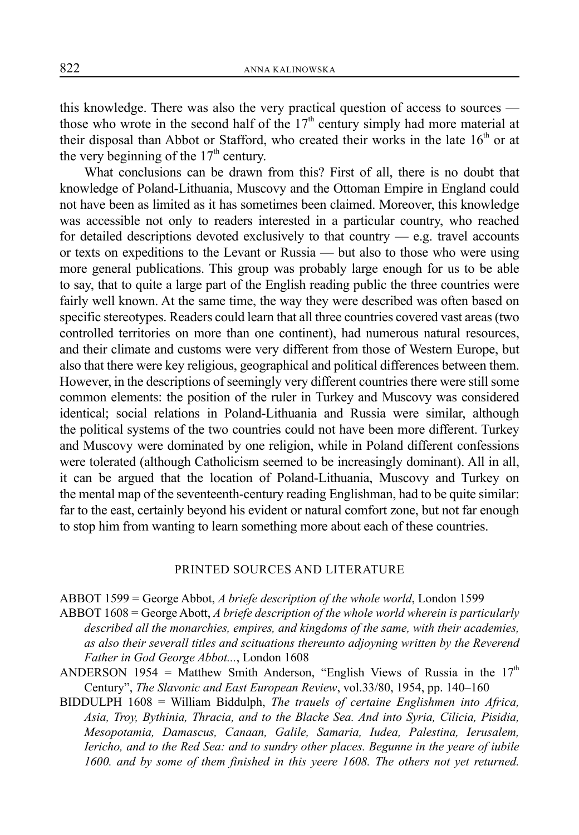this knowledge. There was also the very practical question of access to sources those who wrote in the second half of the  $17<sup>th</sup>$  century simply had more material at their disposal than Abbot or Stafford, who created their works in the late  $16<sup>th</sup>$  or at the very beginning of the  $17<sup>th</sup>$  century.

What conclusions can be drawn from this? First of all, there is no doubt that knowledge of Poland-Lithuania, Muscovy and the Ottoman Empire in England could not have been as limited as it has sometimes been claimed. Moreover, this knowledge was accessible not only to readers interested in a particular country, who reached for detailed descriptions devoted exclusively to that country  $-$  e.g. travel accounts or texts on expeditions to the Levant or Russia — but also to those who were using more general publications. This group was probably large enough for us to be able to say, that to quite a large part of the English reading public the three countries were fairly well known. At the same time, the way they were described was often based on specific stereotypes. Readers could learn that all three countries covered vast areas (two controlled territories on more than one continent), had numerous natural resources, and their climate and customs were very different from those of Western Europe, but also that there were key religious, geographical and political differences between them. However, in the descriptions of seemingly very different countries there were still some common elements: the position of the ruler in Turkey and Muscovy was considered identical; social relations in Poland-Lithuania and Russia were similar, although the political systems of the two countries could not have been more different. Turkey and Muscovy were dominated by one religion, while in Poland different confessions were tolerated (although Catholicism seemed to be increasingly dominant). All in all, it can be argued that the location of Poland-Lithuania, Muscovy and Turkey on the mental map of the seventeenth-century reading Englishman, had to be quite similar: far to the east, certainly beyond his evident or natural comfort zone, but not far enough to stop him from wanting to learn something more about each of these countries.

## PRINTED SOURCES AND LITERATURE

ABBOT 1599 = George Abbot, *A briefe description of the whole world*, London 1599

- ABBOT 1608 = George Abott, *A briefe description of the whole world wherein is particularly described all the monarchies, empires, and kingdoms of the same, with their academies, as also their severall titles and scituations thereunto adjoyning written by the Reverend Father in God George Abbot...*, London 1608
- ANDERSON 1954 = Matthew Smith Anderson, "English Views of Russia in the  $17<sup>th</sup>$ Century", *The Slavonic and East European Review*, vol.33/80, 1954, pp. 140–160
- BIDDULPH 1608 = William Biddulph, *The trauels of certaine Englishmen into Africa, Asia, Troy, Bythinia, Thracia, and to the Blacke Sea. And into Syria, Cilicia, Pisidia, Mesopotamia, Damascus, Canaan, Galile, Samaria, Iudea, Palestina, Ierusalem, Iericho, and to the Red Sea: and to sundry other places. Begunne in the yeare of iubile 1600. and by some of them finished in this yeere 1608. The others not yet returned.*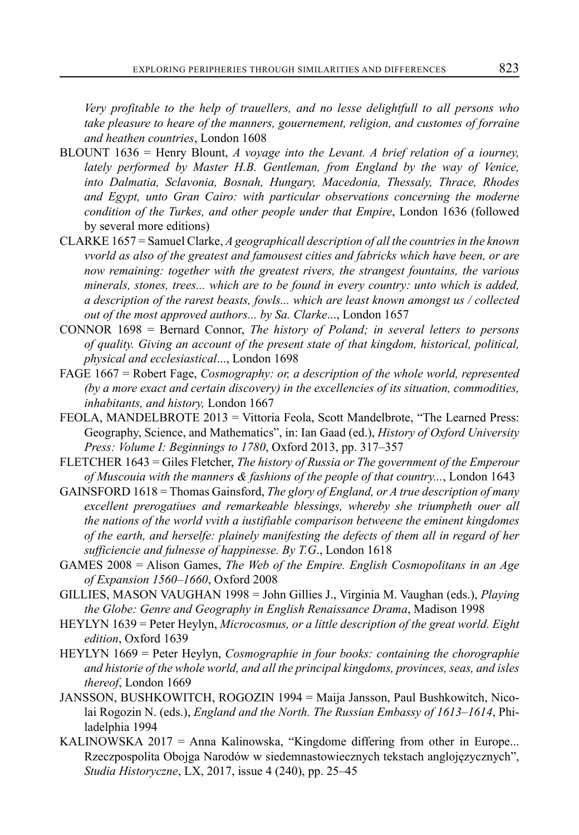*Very profitable to the help of trauellers, and no lesse delightfull to all persons who take pleasure to heare of the manners, gouernement, religion, and customes of forraine and heathen countries*, London 1608

- BLOUNT 1636 = Henry Blount, *A voyage into the Levant. A brief relation of a iourney, lately performed by Master H.B. Gentleman, from England by the way of Venice, into Dalmatia, Sclavonia, Bosnah, Hungary, Macedonia, Thessaly, Thrace, Rhodes and Egypt, unto Gran Cairo: with particular observations concerning the moderne condition of the Turkes, and other people under that Empire*, London 1636 (followed by several more editions)
- CLARKE 1657 = Samuel Clarke, *A geographicall description of all the countries in the known vvorld as also of the greatest and famousest cities and fabricks which have been, or are now remaining: together with the greatest rivers, the strangest fountains, the various minerals, stones, trees... which are to be found in every country: unto which is added, a description of the rarest beasts, fowls... which are least known amongst us / collected out of the most approved authors... by Sa. Clarke*..., London 1657
- CONNOR 1698 = Bernard Connor, *The history of Poland; in several letters to persons of quality. Giving an account of the present state of that kingdom, historical, political, physical and ecclesiastical*..., London 1698
- FAGE 1667 = Robert Fage, *Cosmography: or, a description of the whole world, represented (by a more exact and certain discovery) in the excellencies of its situation, commodities, inhabitants, and history,* London 1667
- FEOLA, MANDELBROTE 2013 = Vittoria Feola, Scott Mandelbrote, "The Learned Press: Geography, Science, and Mathematics", in: Ian Gaad (ed.), *History of Oxford University Press: Volume I: Beginnings to 1780*, Oxford 2013, pp. 317–357
- FLETCHER 1643 = Giles Fletcher, *The history of Russia or The government of the Emperour of Muscouia with the manners & fashions of the people of that country...*, London 1643
- GAINSFORD 1618 = Thomas Gainsford, *The glory of England, or A true description of many excellent prerogatiues and remarkeable blessings, whereby she triumpheth ouer all the nations of the world vvith a iustifiable comparison betweene the eminent kingdomes of the earth, and herselfe: plainely manifesting the defects of them all in regard of her sufficiencie and fulnesse of happinesse. By T.G*., London 1618
- GAMES 2008 = Alison Games, *The Web of the Empire. English Cosmopolitans in an Age of Expansion 1560–1660*, Oxford 2008
- GILLIES, MASON VAUGHAN 1998 = John Gillies J., Virginia M. Vaughan (eds.), *Playing the Globe: Genre and Geography in English Renaissance Drama*, Madison 1998
- HEYLYN 1639 = Peter Heylyn, *Microcosmus, or a little description of the great world. Eight edition*, Oxford 1639
- HEYLYN 1669 = Peter Heylyn, *Cosmographie in four books: containing the chorographie and historie of the whole world, and all the principal kingdoms, provinces, seas, and isles thereof*, London 1669
- JANSSON, BUSHKOWITCH, ROGOZIN 1994 = Maija Jansson, Paul Bushkowitch, Nicolai Rogozin N. (eds.), *England and the North. The Russian Embassy of 1613–1614*, Philadelphia 1994
- KALINOWSKA 2017 = Anna Kalinowska, "Kingdome differing from other in Europe... Rzeczpospolita Obojga Narodów w siedemnastowiecznych tekstach anglojęzycznych", *Studia Historyczne*, LX, 2017, issue 4 (240), pp. 25–45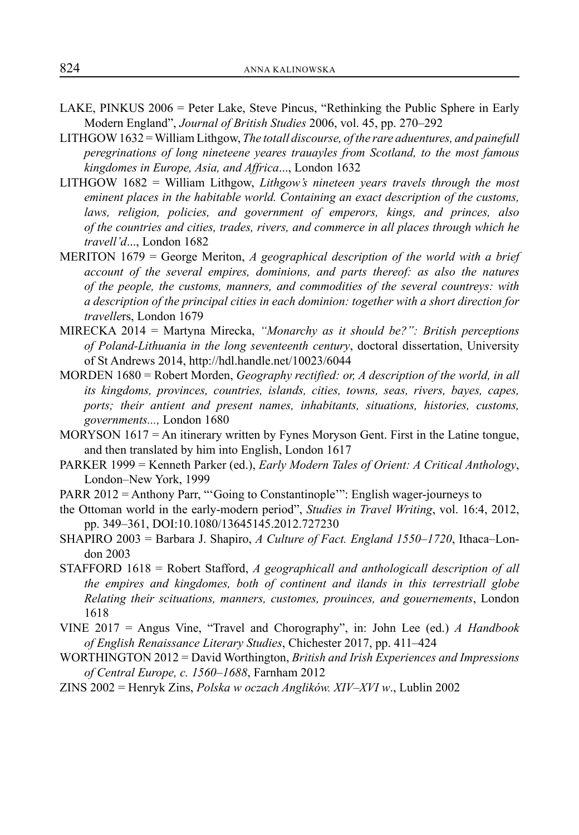- LAKE, PINKUS 2006 = Peter Lake, Steve Pincus, "Rethinking the Public Sphere in Early Modern England", *Journal of British Studies* 2006, vol. 45, pp. 270–292
- LITHGOW 1632 = William Lithgow, *The totall discourse, of the rare aduentures, and painefull peregrinations of long nineteene yeares trauayles from Scotland, to the most famous kingdomes in Europe, Asia, and Affrica*..., London 1632
- LITHGOW 1682 = William Lithgow, *Lithgow's nineteen years travels through the most eminent places in the habitable world. Containing an exact description of the customs, laws, religion, policies, and government of emperors, kings, and princes, also of the countries and cities, trades, rivers, and commerce in all places through which he travell'd*..., London 1682
- MERITON 1679 = George Meriton, *A geographical description of the world with a brief account of the several empires, dominions, and parts thereof: as also the natures of the people, the customs, manners, and commodities of the several countreys: with a description of the principal cities in each dominion: together with a short direction for travelle*rs, London 1679
- MIRECKA 2014 = Martyna Mirecka, *"Monarchy as it should be?": British perceptions of Poland-Lithuania in the long seventeenth century*, doctoral dissertation, University of St Andrews 2014, http://hdl.handle.net/10023/6044
- MORDEN 1680 = Robert Morden, *Geography rectified: or, A description of the world, in all its kingdoms, provinces, countries, islands, cities, towns, seas, rivers, bayes, capes, ports; their antient and present names, inhabitants, situations, histories, customs, governments...,* London 1680
- MORYSON  $1617 = An$  itinerary written by Fynes Moryson Gent. First in the Latine tongue, and then translated by him into English, London 1617
- PARKER 1999 = Kenneth Parker (ed.), *Early Modern Tales of Orient: A Critical Anthology*, London–New York, 1999
- PARR 2012 = Anthony Parr, "'Going to Constantinople'": English wager-journeys to
- the Ottoman world in the early-modern period", *Studies in Travel Writing*, vol. 16:4, 2012, pp. 349–361, DOI:10.1080/13645145.2012.727230
- SHAPIRO 2003 = Barbara J. Shapiro, *A Culture of Fact. England 1550–1720*, Ithaca–London 2003
- STAFFORD 1618 = Robert Stafford, *A geographicall and anthologicall description of all the empires and kingdomes, both of continent and ilands in this terrestriall globe Relating their scituations, manners, customes, prouinces, and gouernements*, London 1618
- VINE 2017 = Angus Vine, "Travel and Chorography", in: John Lee (ed.) *A Handbook of English Renaissance Literary Studies*, Chichester 2017, pp. 411–424
- WORTHINGTON 2012 = David Worthington, *British and Irish Experiences and Impressions of Central Europe, c. 1560–1688*, Farnham 2012
- ZINS 2002 = Henryk Zins, *Polska w oczach Anglików. XIV–XVI w*., Lublin 2002